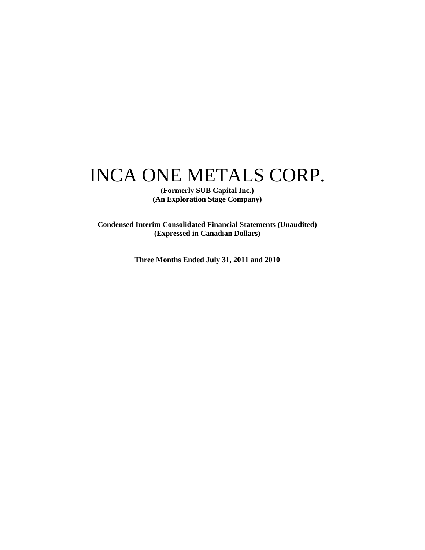# INCA ONE METALS CORP.

**(Formerly SUB Capital Inc.) (An Exploration Stage Company)** 

**Condensed Interim Consolidated Financial Statements (Unaudited) (Expressed in Canadian Dollars)** 

**Three Months Ended July 31, 2011 and 2010**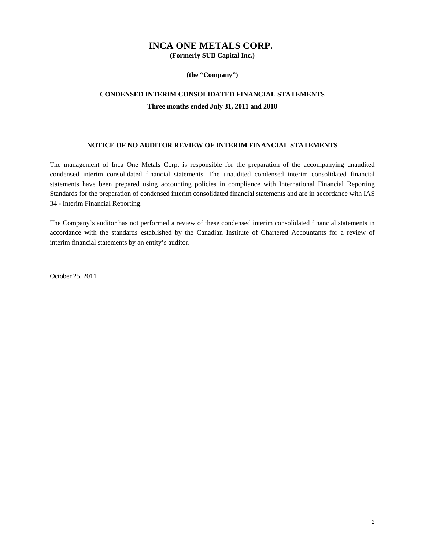### **INCA ONE METALS CORP.**

**(Formerly SUB Capital Inc.)** 

**(the "Company")** 

### **CONDENSED INTERIM CONSOLIDATED FINANCIAL STATEMENTS Three months ended July 31, 2011 and 2010**

### **NOTICE OF NO AUDITOR REVIEW OF INTERIM FINANCIAL STATEMENTS**

The management of Inca One Metals Corp. is responsible for the preparation of the accompanying unaudited condensed interim consolidated financial statements. The unaudited condensed interim consolidated financial statements have been prepared using accounting policies in compliance with International Financial Reporting Standards for the preparation of condensed interim consolidated financial statements and are in accordance with IAS 34 - Interim Financial Reporting.

The Company's auditor has not performed a review of these condensed interim consolidated financial statements in accordance with the standards established by the Canadian Institute of Chartered Accountants for a review of interim financial statements by an entity's auditor.

October 25, 2011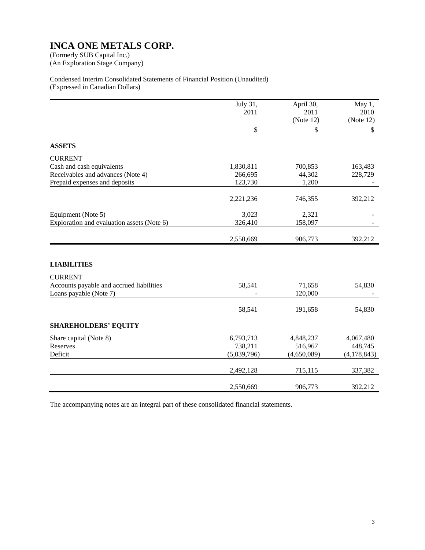(An Exploration Stage Company)

### Condensed Interim Consolidated Statements of Financial Position (Unaudited) (Expressed in Canadian Dollars)

|                                            | July 31,      | April 30,   | May 1,        |
|--------------------------------------------|---------------|-------------|---------------|
|                                            | 2011          | 2011        | 2010          |
|                                            |               | (Note 12)   | (Note 12)     |
|                                            | $\mathsf{\$}$ |             | \$            |
|                                            |               | \$          |               |
| <b>ASSETS</b>                              |               |             |               |
| <b>CURRENT</b>                             |               |             |               |
| Cash and cash equivalents                  | 1,830,811     | 700,853     | 163,483       |
| Receivables and advances (Note 4)          | 266,695       | 44,302      | 228,729       |
| Prepaid expenses and deposits              | 123,730       | 1,200       |               |
|                                            |               |             |               |
|                                            | 2,221,236     | 746,355     | 392,212       |
| Equipment (Note 5)                         | 3,023         | 2,321       |               |
| Exploration and evaluation assets (Note 6) | 326,410       | 158,097     |               |
|                                            |               |             |               |
|                                            | 2,550,669     | 906,773     | 392,212       |
|                                            |               |             |               |
| <b>LIABILITIES</b>                         |               |             |               |
| <b>CURRENT</b>                             |               |             |               |
| Accounts payable and accrued liabilities   | 58,541        | 71,658      | 54,830        |
| Loans payable (Note 7)                     |               | 120,000     |               |
|                                            |               |             |               |
|                                            | 58,541        | 191,658     | 54,830        |
| <b>SHAREHOLDERS' EQUITY</b>                |               |             |               |
| Share capital (Note 8)                     | 6,793,713     | 4,848,237   | 4,067,480     |
| Reserves                                   | 738,211       | 516,967     | 448,745       |
| Deficit                                    | (5,039,796)   | (4,650,089) | (4, 178, 843) |
|                                            |               |             |               |
|                                            | 2,492,128     | 715,115     | 337,382       |
|                                            | 2,550,669     | 906,773     | 392,212       |
|                                            |               |             |               |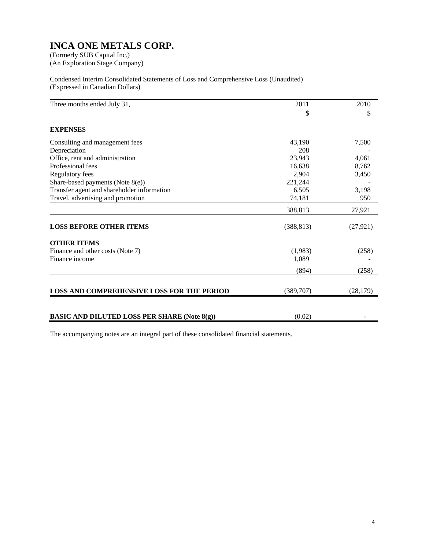(An Exploration Stage Company)

Condensed Interim Consolidated Statements of Loss and Comprehensive Loss (Unaudited) (Expressed in Canadian Dollars)

| Three months ended July 31,                         | 2011       | 2010      |
|-----------------------------------------------------|------------|-----------|
|                                                     | \$         | \$        |
| <b>EXPENSES</b>                                     |            |           |
| Consulting and management fees                      | 43,190     | 7,500     |
| Depreciation                                        | 208        |           |
| Office, rent and administration                     | 23,943     | 4,061     |
| Professional fees                                   | 16,638     | 8,762     |
| Regulatory fees                                     | 2,904      | 3,450     |
| Share-based payments (Note 8(e))                    | 221,244    |           |
| Transfer agent and shareholder information          | 6,505      | 3,198     |
| Travel, advertising and promotion                   | 74,181     | 950       |
|                                                     | 388,813    | 27,921    |
| <b>LOSS BEFORE OTHER ITEMS</b>                      | (388, 813) | (27, 921) |
| <b>OTHER ITEMS</b>                                  |            |           |
| Finance and other costs (Note 7)                    | (1,983)    | (258)     |
| Finance income                                      | 1,089      |           |
|                                                     | (894)      | (258)     |
| <b>LOSS AND COMPREHENSIVE LOSS FOR THE PERIOD</b>   | (389,707)  | (28, 179) |
| <b>BASIC AND DILUTED LOSS PER SHARE (Note 8(g))</b> | (0.02)     |           |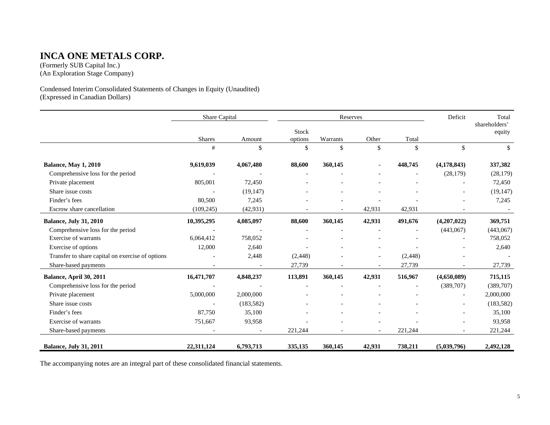### **INCA ONE METALS CORP.**

(Formerly SUB Capital Inc.) (An Exploration Stage Company)

Condensed Interim Consolidated Statements of Changes in Equity (Unaudited) (Expressed in Canadian Dollars)

|                                                  | Share Capital |            | Reserves |          | Deficit                  | Total    |               |                         |
|--------------------------------------------------|---------------|------------|----------|----------|--------------------------|----------|---------------|-------------------------|
|                                                  |               |            | Stock    |          |                          |          |               | shareholders'<br>equity |
|                                                  | Shares        | Amount     | options  | Warrants | Other                    | Total    |               |                         |
|                                                  | #             | \$         | \$       | \$       | \$                       | \$       | $\mathbb{S}$  | \$                      |
| <b>Balance, May 1, 2010</b>                      | 9,619,039     | 4,067,480  | 88,600   | 360,145  |                          | 448,745  | (4, 178, 843) | 337,382                 |
| Comprehensive loss for the period                |               |            |          |          |                          |          | (28, 179)     | (28, 179)               |
| Private placement                                | 805,001       | 72,450     |          |          |                          |          |               | 72,450                  |
| Share issue costs                                |               | (19, 147)  |          |          |                          |          |               | (19, 147)               |
| Finder's fees                                    | 80,500        | 7,245      |          |          |                          |          |               | 7,245                   |
| Escrow share cancellation                        | (109, 245)    | (42, 931)  |          |          | 42,931                   | 42,931   |               |                         |
| <b>Balance, July 31, 2010</b>                    | 10,395,295    | 4,085,097  | 88,600   | 360,145  | 42,931                   | 491,676  | (4,207,022)   | 369,751                 |
| Comprehensive loss for the period                |               |            |          |          |                          |          | (443,067)     | (443,067)               |
| Exercise of warrants                             | 6,064,412     | 758,052    |          |          |                          |          |               | 758,052                 |
| Exercise of options                              | 12,000        | 2,640      |          |          |                          |          |               | 2,640                   |
| Transfer to share capital on exercise of options |               | 2,448      | (2, 448) |          | $\overline{\phantom{a}}$ | (2, 448) |               |                         |
| Share-based payments                             |               |            | 27,739   |          |                          | 27,739   |               | 27,739                  |
| Balance, April 30, 2011                          | 16,471,707    | 4,848,237  | 113,891  | 360,145  | 42,931                   | 516,967  | (4,650,089)   | 715,115                 |
| Comprehensive loss for the period                |               |            |          |          |                          |          | (389,707)     | (389,707)               |
| Private placement                                | 5,000,000     | 2,000,000  |          |          |                          |          |               | 2,000,000               |
| Share issue costs                                |               | (183, 582) |          |          |                          |          |               | (183, 582)              |
| Finder's fees                                    | 87,750        | 35,100     |          |          | ۰                        |          |               | 35,100                  |
| Exercise of warrants                             | 751,667       | 93,958     |          |          |                          |          |               | 93,958                  |
| Share-based payments                             |               |            | 221,244  |          |                          | 221,244  |               | 221,244                 |
| <b>Balance, July 31, 2011</b>                    | 22,311,124    | 6,793,713  | 335,135  | 360,145  | 42,931                   | 738,211  | (5,039,796)   | 2,492,128               |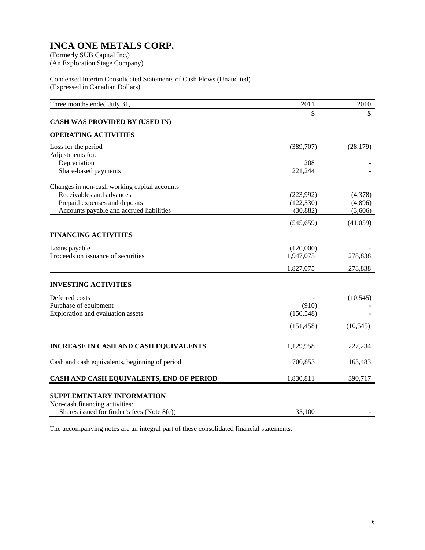(An Exploration Stage Company)

Condensed Interim Consolidated Statements of Cash Flows (Unaudited) (Expressed in Canadian Dollars)

| Three months ended July 31,                                 | 2011       | 2010      |
|-------------------------------------------------------------|------------|-----------|
|                                                             | \$         | \$        |
| <b>CASH WAS PROVIDED BY (USED IN)</b>                       |            |           |
| <b>OPERATING ACTIVITIES</b>                                 |            |           |
| Loss for the period                                         | (389,707)  | (28, 179) |
| Adjustments for:                                            |            |           |
| Depreciation                                                | 208        |           |
| Share-based payments                                        | 221,244    |           |
| Changes in non-cash working capital accounts                |            |           |
| Receivables and advances                                    | (223,992)  | (4,378)   |
| Prepaid expenses and deposits                               | (122, 530) | (4,896)   |
| Accounts payable and accrued liabilities                    | (30, 882)  | (3,606)   |
|                                                             | (545, 659) | (41,059)  |
| <b>FINANCING ACTIVITIES</b>                                 |            |           |
| Loans payable                                               | (120,000)  |           |
| Proceeds on issuance of securities                          | 1,947,075  | 278,838   |
|                                                             | 1,827,075  | 278,838   |
|                                                             |            |           |
| <b>INVESTING ACTIVITIES</b>                                 |            |           |
| Deferred costs                                              |            | (10, 545) |
| Purchase of equipment                                       | (910)      |           |
| Exploration and evaluation assets                           | (150, 548) |           |
|                                                             | (151, 458) | (10, 545) |
|                                                             |            |           |
| INCREASE IN CASH AND CASH EQUIVALENTS                       | 1,129,958  | 227,234   |
| Cash and cash equivalents, beginning of period              | 700,853    | 163,483   |
| CASH AND CASH EQUIVALENTS, END OF PERIOD                    | 1,830,811  | 390,717   |
|                                                             |            |           |
| SUPPLEMENTARY INFORMATION<br>Non-cash financing activities: |            |           |
| Shares issued for finder's fees (Note $8(c)$ )              | 35,100     |           |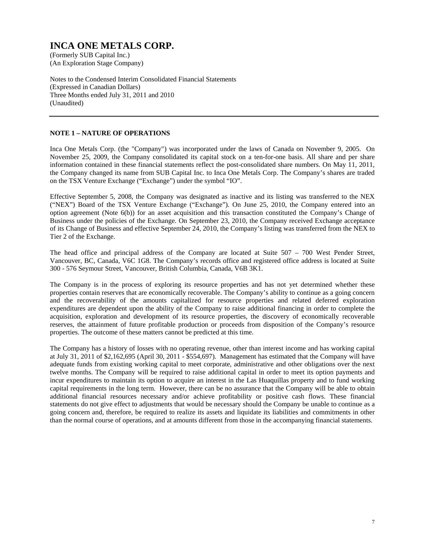(An Exploration Stage Company)

Notes to the Condensed Interim Consolidated Financial Statements (Expressed in Canadian Dollars) Three Months ended July 31, 2011 and 2010 (Unaudited)

### **NOTE 1 – NATURE OF OPERATIONS**

Inca One Metals Corp. (the "Company") was incorporated under the laws of Canada on November 9, 2005. On November 25, 2009, the Company consolidated its capital stock on a ten-for-one basis. All share and per share information contained in these financial statements reflect the post-consolidated share numbers. On May 11, 2011, the Company changed its name from SUB Capital Inc. to Inca One Metals Corp. The Company's shares are traded on the TSX Venture Exchange ("Exchange") under the symbol "IO".

Effective September 5, 2008, the Company was designated as inactive and its listing was transferred to the NEX ("NEX") Board of the TSX Venture Exchange ("Exchange"). On June 25, 2010, the Company entered into an option agreement (Note 6(b)) for an asset acquisition and this transaction constituted the Company's Change of Business under the policies of the Exchange. On September 23, 2010, the Company received Exchange acceptance of its Change of Business and effective September 24, 2010, the Company's listing was transferred from the NEX to Tier 2 of the Exchange.

The head office and principal address of the Company are located at Suite 507 – 700 West Pender Street, Vancouver, BC, Canada, V6C 1G8. The Company's records office and registered office address is located at Suite 300 - 576 Seymour Street, Vancouver, British Columbia, Canada, V6B 3K1.

The Company is in the process of exploring its resource properties and has not yet determined whether these properties contain reserves that are economically recoverable. The Company's ability to continue as a going concern and the recoverability of the amounts capitalized for resource properties and related deferred exploration expenditures are dependent upon the ability of the Company to raise additional financing in order to complete the acquisition, exploration and development of its resource properties, the discovery of economically recoverable reserves, the attainment of future profitable production or proceeds from disposition of the Company's resource properties. The outcome of these matters cannot be predicted at this time.

The Company has a history of losses with no operating revenue, other than interest income and has working capital at July 31, 2011 of \$2,162,695 (April 30, 2011 - \$554,697). Management has estimated that the Company will have adequate funds from existing working capital to meet corporate, administrative and other obligations over the next twelve months. The Company will be required to raise additional capital in order to meet its option payments and incur expenditures to maintain its option to acquire an interest in the Las Huaquillas property and to fund working capital requirements in the long term. However, there can be no assurance that the Company will be able to obtain additional financial resources necessary and/or achieve profitability or positive cash flows. These financial statements do not give effect to adjustments that would be necessary should the Company be unable to continue as a going concern and, therefore, be required to realize its assets and liquidate its liabilities and commitments in other than the normal course of operations, and at amounts different from those in the accompanying financial statements.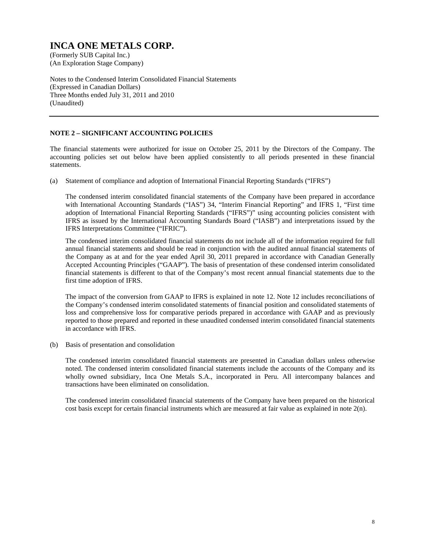(An Exploration Stage Company)

Notes to the Condensed Interim Consolidated Financial Statements (Expressed in Canadian Dollars) Three Months ended July 31, 2011 and 2010 (Unaudited)

### **NOTE 2 – SIGNIFICANT ACCOUNTING POLICIES**

The financial statements were authorized for issue on October 25, 2011 by the Directors of the Company. The accounting policies set out below have been applied consistently to all periods presented in these financial statements.

(a) Statement of compliance and adoption of International Financial Reporting Standards ("IFRS")

 The condensed interim consolidated financial statements of the Company have been prepared in accordance with International Accounting Standards ("IAS") 34, "Interim Financial Reporting" and IFRS 1, "First time adoption of International Financial Reporting Standards ("IFRS")" using accounting policies consistent with IFRS as issued by the International Accounting Standards Board ("IASB") and interpretations issued by the IFRS Interpretations Committee ("IFRIC").

 The condensed interim consolidated financial statements do not include all of the information required for full annual financial statements and should be read in conjunction with the audited annual financial statements of the Company as at and for the year ended April 30, 2011 prepared in accordance with Canadian Generally Accepted Accounting Principles ("GAAP"). The basis of presentation of these condensed interim consolidated financial statements is different to that of the Company's most recent annual financial statements due to the first time adoption of IFRS.

 The impact of the conversion from GAAP to IFRS is explained in note 12. Note 12 includes reconciliations of the Company's condensed interim consolidated statements of financial position and consolidated statements of loss and comprehensive loss for comparative periods prepared in accordance with GAAP and as previously reported to those prepared and reported in these unaudited condensed interim consolidated financial statements in accordance with IFRS.

(b) Basis of presentation and consolidation

 The condensed interim consolidated financial statements are presented in Canadian dollars unless otherwise noted. The condensed interim consolidated financial statements include the accounts of the Company and its wholly owned subsidiary, Inca One Metals S.A., incorporated in Peru. All intercompany balances and transactions have been eliminated on consolidation.

 The condensed interim consolidated financial statements of the Company have been prepared on the historical cost basis except for certain financial instruments which are measured at fair value as explained in note 2(n).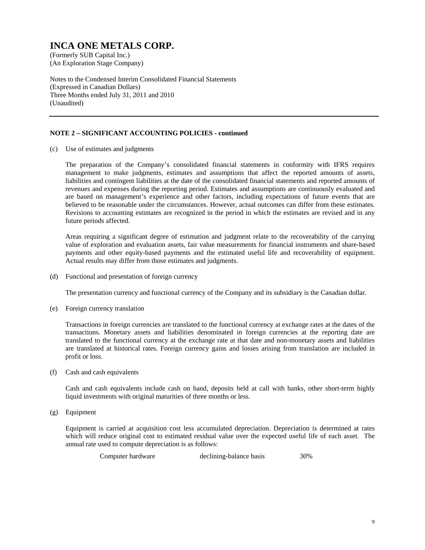(An Exploration Stage Company)

Notes to the Condensed Interim Consolidated Financial Statements (Expressed in Canadian Dollars) Three Months ended July 31, 2011 and 2010 (Unaudited)

### **NOTE 2 – SIGNIFICANT ACCOUNTING POLICIES - continued**

(c) Use of estimates and judgments

 The preparation of the Company's consolidated financial statements in conformity with IFRS requires management to make judgments, estimates and assumptions that affect the reported amounts of assets, liabilities and contingent liabilities at the date of the consolidated financial statements and reported amounts of revenues and expenses during the reporting period. Estimates and assumptions are continuously evaluated and are based on management's experience and other factors, including expectations of future events that are believed to be reasonable under the circumstances. However, actual outcomes can differ from these estimates. Revisions to accounting estimates are recognized in the period in which the estimates are revised and in any future periods affected.

 Areas requiring a significant degree of estimation and judgment relate to the recoverability of the carrying value of exploration and evaluation assets, fair value measurements for financial instruments and share-based payments and other equity-based payments and the estimated useful life and recoverability of equipment. Actual results may differ from those estimates and judgments.

(d) Functional and presentation of foreign currency

The presentation currency and functional currency of the Company and its subsidiary is the Canadian dollar.

(e) Foreign currency translation

 Transactions in foreign currencies are translated to the functional currency at exchange rates at the dates of the transactions. Monetary assets and liabilities denominated in foreign currencies at the reporting date are translated to the functional currency at the exchange rate at that date and non-monetary assets and liabilities are translated at historical rates. Foreign currency gains and losses arising from translation are included in profit or loss.

(f) Cash and cash equivalents

 Cash and cash equivalents include cash on hand, deposits held at call with banks, other short-term highly liquid investments with original maturities of three months or less.

(g) Equipment

 Equipment is carried at acquisition cost less accumulated depreciation. Depreciation is determined at rates which will reduce original cost to estimated residual value over the expected useful life of each asset. The annual rate used to compute depreciation is as follows:

Computer hardware declining-balance basis 30%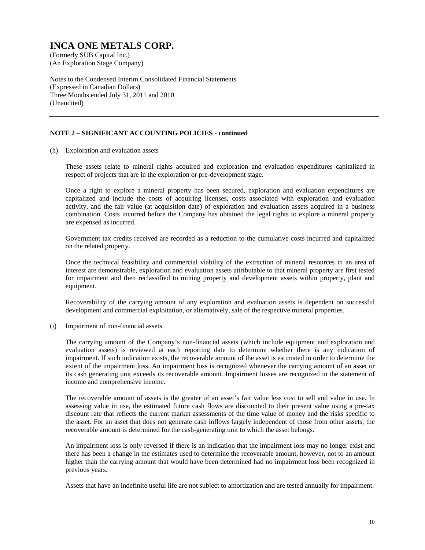(An Exploration Stage Company)

Notes to the Condensed Interim Consolidated Financial Statements (Expressed in Canadian Dollars) Three Months ended July 31, 2011 and 2010 (Unaudited)

### **NOTE 2 – SIGNIFICANT ACCOUNTING POLICIES - continued**

(h) Exploration and evaluation assets

These assets relate to mineral rights acquired and exploration and evaluation expenditures capitalized in respect of projects that are in the exploration or pre-development stage.

Once a right to explore a mineral property has been secured, exploration and evaluation expenditures are capitalized and include the costs of acquiring licenses, costs associated with exploration and evaluation activity, and the fair value (at acquisition date) of exploration and evaluation assets acquired in a business combination. Costs incurred before the Company has obtained the legal rights to explore a mineral property are expensed as incurred.

Government tax credits received are recorded as a reduction to the cumulative costs incurred and capitalized on the related property.

Once the technical feasibility and commercial viability of the extraction of mineral resources in an area of interest are demonstrable, exploration and evaluation assets attributable to that mineral property are first tested for impairment and then reclassified to mining property and development assets within property, plant and equipment.

Recoverability of the carrying amount of any exploration and evaluation assets is dependent on successful development and commercial exploitation, or alternatively, sale of the respective mineral properties.

(i) Impairment of non-financial assets

The carrying amount of the Company's non-financial assets (which include equipment and exploration and evaluation assets) is reviewed at each reporting date to determine whether there is any indication of impairment. If such indication exists, the recoverable amount of the asset is estimated in order to determine the extent of the impairment loss. An impairment loss is recognized whenever the carrying amount of an asset or its cash generating unit exceeds its recoverable amount. Impairment losses are recognized in the statement of income and comprehensive income.

The recoverable amount of assets is the greater of an asset's fair value less cost to sell and value in use. In assessing value in use, the estimated future cash flows are discounted to their present value using a pre-tax discount rate that reflects the current market assessments of the time value of money and the risks specific to the asset. For an asset that does not generate cash inflows largely independent of those from other assets, the recoverable amount is determined for the cash-generating unit to which the asset belongs.

An impairment loss is only reversed if there is an indication that the impairment loss may no longer exist and there has been a change in the estimates used to determine the recoverable amount, however, not to an amount higher than the carrying amount that would have been determined had no impairment loss been recognized in previous years.

Assets that have an indefinite useful life are not subject to amortization and are tested annually for impairment.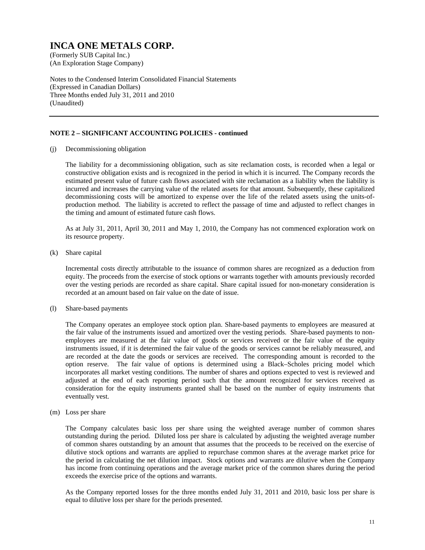(An Exploration Stage Company)

Notes to the Condensed Interim Consolidated Financial Statements (Expressed in Canadian Dollars) Three Months ended July 31, 2011 and 2010 (Unaudited)

### **NOTE 2 – SIGNIFICANT ACCOUNTING POLICIES - continued**

(j) Decommissioning obligation

The liability for a decommissioning obligation, such as site reclamation costs, is recorded when a legal or constructive obligation exists and is recognized in the period in which it is incurred. The Company records the estimated present value of future cash flows associated with site reclamation as a liability when the liability is incurred and increases the carrying value of the related assets for that amount. Subsequently, these capitalized decommissioning costs will be amortized to expense over the life of the related assets using the units-ofproduction method. The liability is accreted to reflect the passage of time and adjusted to reflect changes in the timing and amount of estimated future cash flows.

As at July 31, 2011, April 30, 2011 and May 1, 2010, the Company has not commenced exploration work on its resource property.

(k) Share capital

Incremental costs directly attributable to the issuance of common shares are recognized as a deduction from equity. The proceeds from the exercise of stock options or warrants together with amounts previously recorded over the vesting periods are recorded as share capital. Share capital issued for non-monetary consideration is recorded at an amount based on fair value on the date of issue.

(l) Share-based payments

The Company operates an employee stock option plan. Share-based payments to employees are measured at the fair value of the instruments issued and amortized over the vesting periods. Share-based payments to nonemployees are measured at the fair value of goods or services received or the fair value of the equity instruments issued, if it is determined the fair value of the goods or services cannot be reliably measured, and are recorded at the date the goods or services are received. The corresponding amount is recorded to the option reserve. The fair value of options is determined using a Black–Scholes pricing model which incorporates all market vesting conditions. The number of shares and options expected to vest is reviewed and adjusted at the end of each reporting period such that the amount recognized for services received as consideration for the equity instruments granted shall be based on the number of equity instruments that eventually vest.

(m) Loss per share

The Company calculates basic loss per share using the weighted average number of common shares outstanding during the period. Diluted loss per share is calculated by adjusting the weighted average number of common shares outstanding by an amount that assumes that the proceeds to be received on the exercise of dilutive stock options and warrants are applied to repurchase common shares at the average market price for the period in calculating the net dilution impact. Stock options and warrants are dilutive when the Company has income from continuing operations and the average market price of the common shares during the period exceeds the exercise price of the options and warrants.

As the Company reported losses for the three months ended July 31, 2011 and 2010, basic loss per share is equal to dilutive loss per share for the periods presented.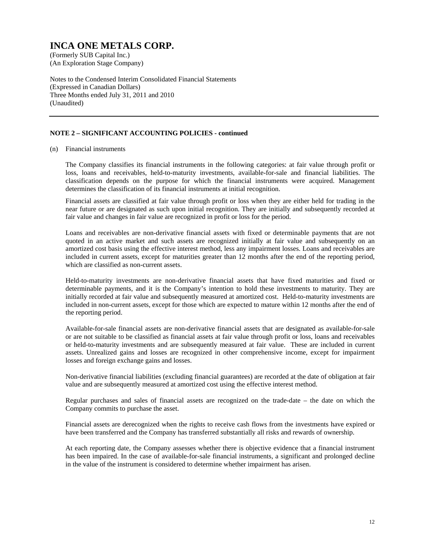(An Exploration Stage Company)

Notes to the Condensed Interim Consolidated Financial Statements (Expressed in Canadian Dollars) Three Months ended July 31, 2011 and 2010 (Unaudited)

### **NOTE 2 – SIGNIFICANT ACCOUNTING POLICIES - continued**

#### (n) Financial instruments

The Company classifies its financial instruments in the following categories: at fair value through profit or loss, loans and receivables, held-to-maturity investments, available-for-sale and financial liabilities. The classification depends on the purpose for which the financial instruments were acquired. Management determines the classification of its financial instruments at initial recognition.

Financial assets are classified at fair value through profit or loss when they are either held for trading in the near future or are designated as such upon initial recognition. They are initially and subsequently recorded at fair value and changes in fair value are recognized in profit or loss for the period.

Loans and receivables are non-derivative financial assets with fixed or determinable payments that are not quoted in an active market and such assets are recognized initially at fair value and subsequently on an amortized cost basis using the effective interest method, less any impairment losses. Loans and receivables are included in current assets, except for maturities greater than 12 months after the end of the reporting period, which are classified as non-current assets.

Held-to-maturity investments are non-derivative financial assets that have fixed maturities and fixed or determinable payments, and it is the Company's intention to hold these investments to maturity. They are initially recorded at fair value and subsequently measured at amortized cost. Held-to-maturity investments are included in non-current assets, except for those which are expected to mature within 12 months after the end of the reporting period.

Available-for-sale financial assets are non-derivative financial assets that are designated as available-for-sale or are not suitable to be classified as financial assets at fair value through profit or loss, loans and receivables or held-to-maturity investments and are subsequently measured at fair value. These are included in current assets. Unrealized gains and losses are recognized in other comprehensive income, except for impairment losses and foreign exchange gains and losses.

Non-derivative financial liabilities (excluding financial guarantees) are recorded at the date of obligation at fair value and are subsequently measured at amortized cost using the effective interest method.

Regular purchases and sales of financial assets are recognized on the trade-date – the date on which the Company commits to purchase the asset.

Financial assets are derecognized when the rights to receive cash flows from the investments have expired or have been transferred and the Company has transferred substantially all risks and rewards of ownership.

At each reporting date, the Company assesses whether there is objective evidence that a financial instrument has been impaired. In the case of available-for-sale financial instruments, a significant and prolonged decline in the value of the instrument is considered to determine whether impairment has arisen.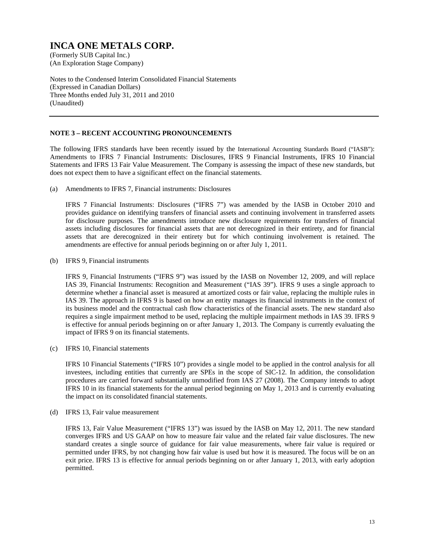(An Exploration Stage Company)

Notes to the Condensed Interim Consolidated Financial Statements (Expressed in Canadian Dollars) Three Months ended July 31, 2011 and 2010 (Unaudited)

#### **NOTE 3 – RECENT ACCOUNTING PRONOUNCEMENTS**

The following IFRS standards have been recently issued by the International Accounting Standards Board ("IASB"): Amendments to IFRS 7 Financial Instruments: Disclosures, IFRS 9 Financial Instruments, IFRS 10 Financial Statements and IFRS 13 Fair Value Measurement. The Company is assessing the impact of these new standards, but does not expect them to have a significant effect on the financial statements.

(a) Amendments to IFRS 7, Financial instruments: Disclosures

 IFRS 7 Financial Instruments: Disclosures ("IFRS 7") was amended by the IASB in October 2010 and provides guidance on identifying transfers of financial assets and continuing involvement in transferred assets for disclosure purposes. The amendments introduce new disclosure requirements for transfers of financial assets including disclosures for financial assets that are not derecognized in their entirety, and for financial assets that are derecognized in their entirety but for which continuing involvement is retained. The amendments are effective for annual periods beginning on or after July 1, 2011.

(b) IFRS 9, Financial instruments

 IFRS 9, Financial Instruments ("IFRS 9") was issued by the IASB on November 12, 2009, and will replace IAS 39, Financial Instruments: Recognition and Measurement ("IAS 39"). IFRS 9 uses a single approach to determine whether a financial asset is measured at amortized costs or fair value, replacing the multiple rules in IAS 39. The approach in IFRS 9 is based on how an entity manages its financial instruments in the context of its business model and the contractual cash flow characteristics of the financial assets. The new standard also requires a single impairment method to be used, replacing the multiple impairment methods in IAS 39. IFRS 9 is effective for annual periods beginning on or after January 1, 2013. The Company is currently evaluating the impact of IFRS 9 on its financial statements.

(c) IFRS 10, Financial statements

 IFRS 10 Financial Statements ("IFRS 10") provides a single model to be applied in the control analysis for all investees, including entities that currently are SPEs in the scope of SIC-12. In addition, the consolidation procedures are carried forward substantially unmodified from IAS 27 (2008). The Company intends to adopt IFRS 10 in its financial statements for the annual period beginning on May 1, 2013 and is currently evaluating the impact on its consolidated financial statements.

(d) IFRS 13, Fair value measurement

 IFRS 13, Fair Value Measurement ("IFRS 13") was issued by the IASB on May 12, 2011. The new standard converges IFRS and US GAAP on how to measure fair value and the related fair value disclosures. The new standard creates a single source of guidance for fair value measurements, where fair value is required or permitted under IFRS, by not changing how fair value is used but how it is measured. The focus will be on an exit price. IFRS 13 is effective for annual periods beginning on or after January 1, 2013, with early adoption permitted.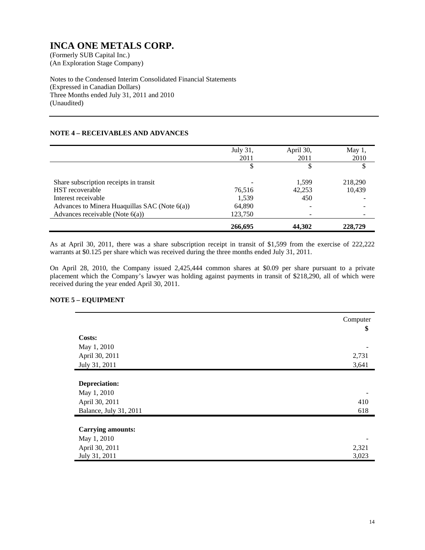(An Exploration Stage Company)

Notes to the Condensed Interim Consolidated Financial Statements (Expressed in Canadian Dollars) Three Months ended July 31, 2011 and 2010 (Unaudited)

### **NOTE 4 – RECEIVABLES AND ADVANCES**

|                                               | July 31,<br>2011 | April 30,<br>2011 | May $1$ ,<br>2010 |
|-----------------------------------------------|------------------|-------------------|-------------------|
|                                               | \$               |                   |                   |
| Share subscription receipts in transit        |                  | 1.599             | 218,290           |
| <b>HST</b> recoverable                        | 76,516           | 42,253            | 10,439            |
| Interest receivable                           | 1,539            | 450               |                   |
| Advances to Minera Huaquillas SAC (Note 6(a)) | 64,890           |                   |                   |
| Advances receivable (Note $6(a)$ )            | 123,750          |                   |                   |
|                                               | 266,695          | 44,302            | 228,729           |

As at April 30, 2011, there was a share subscription receipt in transit of \$1,599 from the exercise of 222,222 warrants at \$0.125 per share which was received during the three months ended July 31, 2011.

On April 28, 2010, the Company issued 2,425,444 common shares at \$0.09 per share pursuant to a private placement which the Company's lawyer was holding against payments in transit of \$218,290, all of which were received during the year ended April 30, 2011.

#### **NOTE 5 – EQUIPMENT**

|                          | Computer |
|--------------------------|----------|
| Costs:                   | \$       |
|                          |          |
| May 1, 2010              |          |
| April 30, 2011           | 2,731    |
| July 31, 2011            | 3,641    |
|                          |          |
| Depreciation:            |          |
| May 1, 2010              |          |
| April 30, 2011           | 410      |
| Balance, July 31, 2011   | 618      |
|                          |          |
| <b>Carrying amounts:</b> |          |
| May 1, 2010              |          |
| April 30, 2011           | 2,321    |
| July 31, 2011            | 3,023    |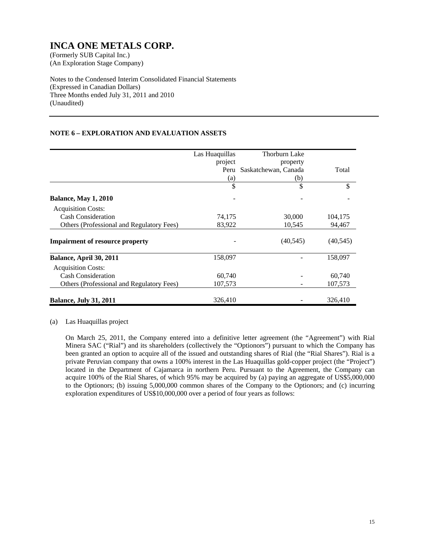(An Exploration Stage Company)

Notes to the Condensed Interim Consolidated Financial Statements (Expressed in Canadian Dollars) Three Months ended July 31, 2011 and 2010 (Unaudited)

### **NOTE 6 – EXPLORATION AND EVALUATION ASSETS**

|                                           | Las Huaquillas | Thorburn Lake        |           |
|-------------------------------------------|----------------|----------------------|-----------|
|                                           | project        | property             |           |
|                                           | Peru           | Saskatchewan, Canada | Total     |
|                                           | (a)            | (b)                  |           |
|                                           | \$             | \$                   | \$        |
| <b>Balance, May 1, 2010</b>               |                |                      |           |
| <b>Acquisition Costs:</b>                 |                |                      |           |
| <b>Cash Consideration</b>                 | 74,175         | 30,000               | 104,175   |
| Others (Professional and Regulatory Fees) | 83,922         | 10,545               | 94,467    |
| <b>Impairment of resource property</b>    |                | (40, 545)            | (40, 545) |
| Balance, April 30, 2011                   | 158,097        |                      | 158,097   |
| <b>Acquisition Costs:</b>                 |                |                      |           |
| <b>Cash Consideration</b>                 | 60,740         |                      | 60,740    |
| Others (Professional and Regulatory Fees) | 107,573        |                      | 107,573   |
| <b>Balance, July 31, 2011</b>             | 326,410        |                      | 326,410   |

(a) Las Huaquillas project

On March 25, 2011, the Company entered into a definitive letter agreement (the "Agreement") with Rial Minera SAC ("Rial") and its shareholders (collectively the "Optionors") pursuant to which the Company has been granted an option to acquire all of the issued and outstanding shares of Rial (the "Rial Shares"). Rial is a private Peruvian company that owns a 100% interest in the Las Huaquillas gold-copper project (the "Project") located in the Department of Cajamarca in northern Peru. Pursuant to the Agreement, the Company can acquire 100% of the Rial Shares, of which 95% may be acquired by (a) paying an aggregate of US\$5,000,000 to the Optionors; (b) issuing 5,000,000 common shares of the Company to the Optionors; and (c) incurring exploration expenditures of US\$10,000,000 over a period of four years as follows: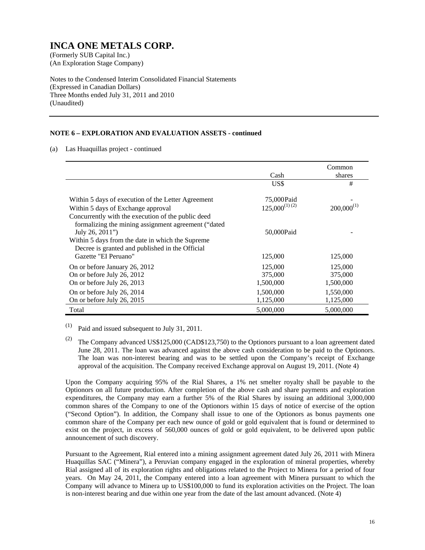(An Exploration Stage Company)

Notes to the Condensed Interim Consolidated Financial Statements (Expressed in Canadian Dollars) Three Months ended July 31, 2011 and 2010 (Unaudited)

### **NOTE 6 – EXPLORATION AND EVALUATION ASSETS - continued**

(a) Las Huaquillas project - continued

|                                                                                                                                                                                                        |                                   | Common                          |
|--------------------------------------------------------------------------------------------------------------------------------------------------------------------------------------------------------|-----------------------------------|---------------------------------|
|                                                                                                                                                                                                        | Cash                              | shares                          |
|                                                                                                                                                                                                        | US\$                              | #                               |
| Within 5 days of execution of the Letter Agreement<br>Within 5 days of Exchange approval<br>Concurrently with the execution of the public deed                                                         | 75,000 Paid<br>$125.000^{(1)(2)}$ | $200,000^{(1)}$                 |
| formalizing the mining assignment agreement ("dated"<br>July 26, 2011")<br>Within 5 days from the date in which the Supreme<br>Decree is granted and published in the Official<br>Gazette "EI Peruano" | 50,000Paid<br>125,000             | 125,000                         |
|                                                                                                                                                                                                        |                                   |                                 |
| On or before January 26, 2012<br>On or before July 26, 2012<br>On or before July 26, 2013                                                                                                              | 125,000<br>375,000<br>1,500,000   | 125,000<br>375,000<br>1,500,000 |
| On or before July 26, 2014<br>On or before July 26, 2015                                                                                                                                               | 1,500,000<br>1,125,000            | 1,550,000<br>1,125,000          |
| Total                                                                                                                                                                                                  | 5,000,000                         | 5,000,000                       |

 $(1)$  Paid and issued subsequent to July 31, 2011.

 Upon the Company acquiring 95% of the Rial Shares, a 1% net smelter royalty shall be payable to the Optionors on all future production. After completion of the above cash and share payments and exploration expenditures, the Company may earn a further 5% of the Rial Shares by issuing an additional 3,000,000 common shares of the Company to one of the Optionors within 15 days of notice of exercise of the option ("Second Option"). In addition, the Company shall issue to one of the Optionors as bonus payments one common share of the Company per each new ounce of gold or gold equivalent that is found or determined to exist on the project, in excess of 560,000 ounces of gold or gold equivalent, to be delivered upon public announcement of such discovery.

Pursuant to the Agreement, Rial entered into a mining assignment agreement dated July 26, 2011 with Minera Huaquillas SAC ("Minera"), a Peruvian company engaged in the exploration of mineral properties, whereby Rial assigned all of its exploration rights and obligations related to the Project to Minera for a period of four years. On May 24, 2011, the Company entered into a loan agreement with Minera pursuant to which the Company will advance to Minera up to US\$100,000 to fund its exploration activities on the Project. The loan is non-interest bearing and due within one year from the date of the last amount advanced. (Note 4)

<sup>&</sup>lt;sup>(2)</sup> The Company advanced US\$125,000 (CAD\$123,750) to the Optionors pursuant to a loan agreement dated June 28, 2011. The loan was advanced against the above cash consideration to be paid to the Optionors. The loan was non-interest bearing and was to be settled upon the Company's receipt of Exchange approval of the acquisition. The Company received Exchange approval on August 19, 2011. (Note 4)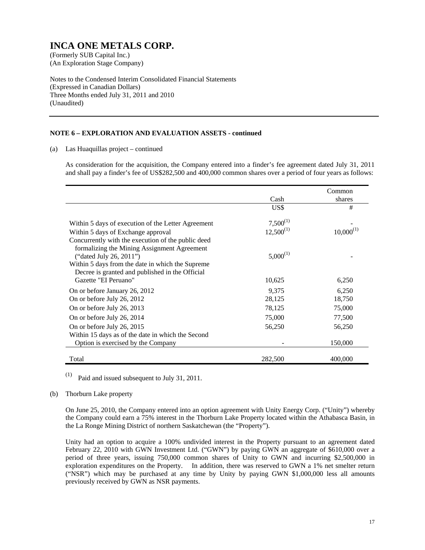(An Exploration Stage Company)

Notes to the Condensed Interim Consolidated Financial Statements (Expressed in Canadian Dollars) Three Months ended July 31, 2011 and 2010 (Unaudited)

#### **NOTE 6 – EXPLORATION AND EVALUATION ASSETS - continued**

(a) Las Huaquillas project – continued

As consideration for the acquisition, the Company entered into a finder's fee agreement dated July 31, 2011 and shall pay a finder's fee of US\$282,500 and 400,000 common shares over a period of four years as follows:

|                                                                                                                                                                                               | Cash                            | Common<br>shares |
|-----------------------------------------------------------------------------------------------------------------------------------------------------------------------------------------------|---------------------------------|------------------|
|                                                                                                                                                                                               | US\$                            | #                |
| Within 5 days of execution of the Letter Agreement<br>Within 5 days of Exchange approval<br>Concurrently with the execution of the public deed<br>formalizing the Mining Assignment Agreement | $7,500^{(1)}$<br>$12,500^{(1)}$ | $10,000^{(1)}$   |
| ("dated July 26, 2011")<br>Within 5 days from the date in which the Supreme<br>Decree is granted and published in the Official<br>Gazette "EI Peruano"                                        | $5,000^{(1)}$<br>10,625         | 6,250            |
| On or before January 26, 2012                                                                                                                                                                 | 9,375                           | 6,250            |
| On or before July 26, 2012                                                                                                                                                                    | 28,125                          | 18,750           |
| On or before July 26, 2013                                                                                                                                                                    | 78,125                          | 75,000           |
| On or before July 26, 2014                                                                                                                                                                    | 75,000                          | 77,500           |
| On or before July 26, 2015                                                                                                                                                                    | 56,250                          | 56,250           |
| Within 15 days as of the date in which the Second<br>Option is exercised by the Company                                                                                                       |                                 | 150,000          |
| Total                                                                                                                                                                                         | 282,500                         | 400,000          |

 $(1)$  Paid and issued subsequent to July 31, 2011.

#### (b) Thorburn Lake property

On June 25, 2010, the Company entered into an option agreement with Unity Energy Corp. ("Unity") whereby the Company could earn a 75% interest in the Thorburn Lake Property located within the Athabasca Basin, in the La Ronge Mining District of northern Saskatchewan (the "Property").

Unity had an option to acquire a 100% undivided interest in the Property pursuant to an agreement dated February 22, 2010 with GWN Investment Ltd. ("GWN") by paying GWN an aggregate of \$610,000 over a period of three years, issuing 750,000 common shares of Unity to GWN and incurring \$2,500,000 in exploration expenditures on the Property. In addition, there was reserved to GWN a 1% net smelter return ("NSR") which may be purchased at any time by Unity by paying GWN \$1,000,000 less all amounts previously received by GWN as NSR payments.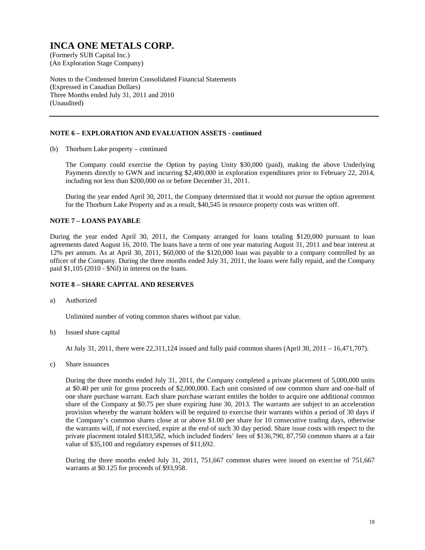(An Exploration Stage Company)

Notes to the Condensed Interim Consolidated Financial Statements (Expressed in Canadian Dollars) Three Months ended July 31, 2011 and 2010 (Unaudited)

#### **NOTE 6 – EXPLORATION AND EVALUATION ASSETS - continued**

(b) Thorburn Lake property – continued

The Company could exercise the Option by paying Unity \$30,000 (paid), making the above Underlying Payments directly to GWN and incurring \$2,400,000 in exploration expenditures prior to February 22, 2014, including not less than \$200,000 on or before December 31, 2011.

During the year ended April 30, 2011, the Company determined that it would not pursue the option agreement for the Thorburn Lake Property and as a result, \$40,545 in resource property costs was written off.

#### **NOTE 7 – LOANS PAYABLE**

During the year ended April 30, 2011, the Company arranged for loans totaling \$120,000 pursuant to loan agreements dated August 16, 2010. The loans have a term of one year maturing August 31, 2011 and bear interest at 12% per annum. As at April 30, 2011, \$60,000 of the \$120,000 loan was payable to a company controlled by an officer of the Company. During the three months ended July 31, 2011, the loans were fully repaid, and the Company paid \$1,105 (2010 - \$Nil) in interest on the loans.

### **NOTE 8 – SHARE CAPITAL AND RESERVES**

a) Authorized

Unlimited number of voting common shares without par value.

b) Issued share capital

At July 31, 2011, there were 22,311,124 issued and fully paid common shares (April 30, 2011 – 16,471,707).

c) Share issuances

During the three months ended July 31, 2011, the Company completed a private placement of 5,000,000 units at \$0.40 per unit for gross proceeds of \$2,000,000. Each unit consisted of one common share and one-half of one share purchase warrant. Each share purchase warrant entitles the holder to acquire one additional common share of the Company at \$0.75 per share expiring June 30, 2013. The warrants are subject to an acceleration provision whereby the warrant holders will be required to exercise their warrants within a period of 30 days if the Company's common shares close at or above \$1.00 per share for 10 consecutive trading days, otherwise the warrants will, if not exercised, expire at the end of such 30 day period. Share issue costs with respect to the private placement totaled \$183,582, which included finders' fees of \$136,790, 87,750 common shares at a fair value of \$35,100 and regulatory expenses of \$11,692.

 During the three months ended July 31, 2011, 751,667 common shares were issued on exercise of 751,667 warrants at \$0.125 for proceeds of \$93,958.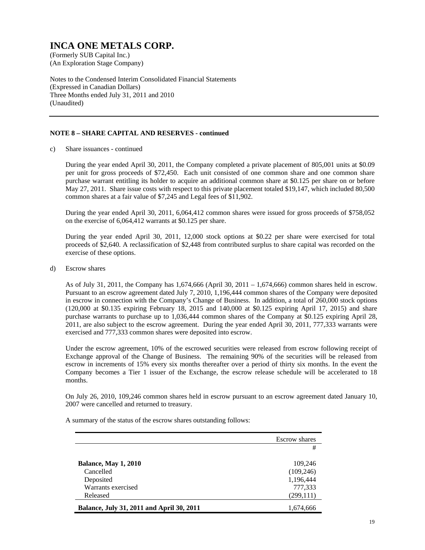(An Exploration Stage Company)

Notes to the Condensed Interim Consolidated Financial Statements (Expressed in Canadian Dollars) Three Months ended July 31, 2011 and 2010 (Unaudited)

### **NOTE 8 – SHARE CAPITAL AND RESERVES - continued**

c) Share issuances - continued

 During the year ended April 30, 2011, the Company completed a private placement of 805,001 units at \$0.09 per unit for gross proceeds of \$72,450. Each unit consisted of one common share and one common share purchase warrant entitling its holder to acquire an additional common share at \$0.125 per share on or before May 27, 2011. Share issue costs with respect to this private placement totaled \$19,147, which included 80,500 common shares at a fair value of \$7,245 and Legal fees of \$11,902.

 During the year ended April 30, 2011, 6,064,412 common shares were issued for gross proceeds of \$758,052 on the exercise of 6,064,412 warrants at \$0.125 per share.

 During the year ended April 30, 2011, 12,000 stock options at \$0.22 per share were exercised for total proceeds of \$2,640. A reclassification of \$2,448 from contributed surplus to share capital was recorded on the exercise of these options.

d) Escrow shares

As of July 31, 2011, the Company has 1,674,666 (April 30, 2011 – 1,674,666) common shares held in escrow. Pursuant to an escrow agreement dated July 7, 2010, 1,196,444 common shares of the Company were deposited in escrow in connection with the Company's Change of Business. In addition, a total of 260,000 stock options (120,000 at \$0.135 expiring February 18, 2015 and 140,000 at \$0.125 expiring April 17, 2015) and share purchase warrants to purchase up to 1,036,444 common shares of the Company at \$0.125 expiring April 28, 2011, are also subject to the escrow agreement. During the year ended April 30, 2011, 777,333 warrants were exercised and 777,333 common shares were deposited into escrow.

Under the escrow agreement, 10% of the escrowed securities were released from escrow following receipt of Exchange approval of the Change of Business. The remaining 90% of the securities will be released from escrow in increments of 15% every six months thereafter over a period of thirty six months. In the event the Company becomes a Tier 1 issuer of the Exchange, the escrow release schedule will be accelerated to 18 months.

On July 26, 2010, 109,246 common shares held in escrow pursuant to an escrow agreement dated January 10, 2007 were cancelled and returned to treasury.

A summary of the status of the escrow shares outstanding follows:

|                                           | <b>Escrow</b> shares |
|-------------------------------------------|----------------------|
|                                           | #                    |
|                                           |                      |
| <b>Balance, May 1, 2010</b>               | 109,246              |
| Cancelled                                 | (109, 246)           |
| Deposited                                 | 1,196,444            |
| Warrants exercised                        | 777,333              |
| Released                                  | (299, 111)           |
| Balance, July 31, 2011 and April 30, 2011 | 1,674,666            |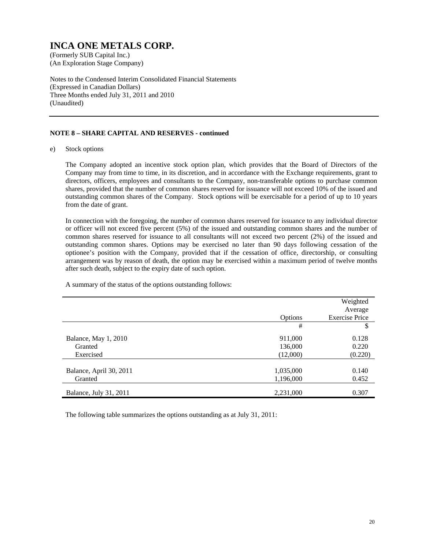(An Exploration Stage Company)

Notes to the Condensed Interim Consolidated Financial Statements (Expressed in Canadian Dollars) Three Months ended July 31, 2011 and 2010 (Unaudited)

### **NOTE 8 – SHARE CAPITAL AND RESERVES - continued**

e) Stock options

The Company adopted an incentive stock option plan, which provides that the Board of Directors of the Company may from time to time, in its discretion, and in accordance with the Exchange requirements, grant to directors, officers, employees and consultants to the Company, non-transferable options to purchase common shares, provided that the number of common shares reserved for issuance will not exceed 10% of the issued and outstanding common shares of the Company. Stock options will be exercisable for a period of up to 10 years from the date of grant.

In connection with the foregoing, the number of common shares reserved for issuance to any individual director or officer will not exceed five percent (5%) of the issued and outstanding common shares and the number of common shares reserved for issuance to all consultants will not exceed two percent (2%) of the issued and outstanding common shares. Options may be exercised no later than 90 days following cessation of the optionee's position with the Company, provided that if the cessation of office, directorship, or consulting arrangement was by reason of death, the option may be exercised within a maximum period of twelve months after such death, subject to the expiry date of such option.

|                         |           | Weighted              |
|-------------------------|-----------|-----------------------|
|                         |           | Average               |
|                         |           |                       |
|                         | Options   | <b>Exercise Price</b> |
|                         | #         | \$                    |
| Balance, May 1, 2010    | 911,000   | 0.128                 |
| Granted                 | 136,000   | 0.220                 |
| Exercised               | (12,000)  | (0.220)               |
|                         |           |                       |
| Balance, April 30, 2011 | 1,035,000 | 0.140                 |
| Granted                 | 1,196,000 | 0.452                 |
|                         |           |                       |
| Balance, July 31, 2011  | 2,231,000 | 0.307                 |

A summary of the status of the options outstanding follows:

The following table summarizes the options outstanding as at July 31, 2011: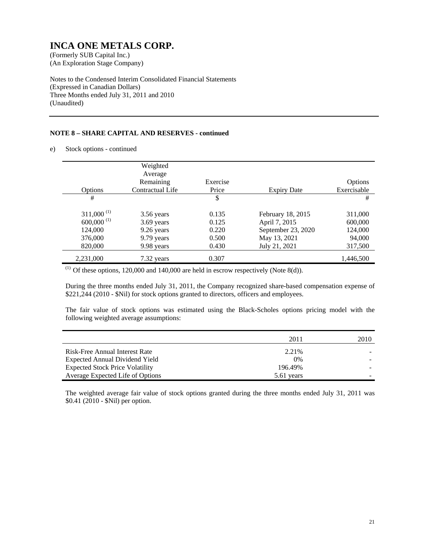(An Exploration Stage Company)

Notes to the Condensed Interim Consolidated Financial Statements (Expressed in Canadian Dollars) Three Months ended July 31, 2011 and 2010 (Unaudited)

### **NOTE 8 – SHARE CAPITAL AND RESERVES - continued**

e) Stock options - continued

|                          | Weighted<br>Average |          |                    |             |
|--------------------------|---------------------|----------|--------------------|-------------|
|                          | Remaining           | Exercise |                    | Options     |
| <b>Options</b>           | Contractual Life    | Price    | <b>Expiry Date</b> | Exercisable |
| #                        |                     | \$       |                    | #           |
| $311,000^{(1)}$          | 3.56 years          | 0.135    | February 18, 2015  | 311,000     |
| $600,000$ <sup>(1)</sup> | 3.69 years          | 0.125    | April 7, 2015      | 600,000     |
| 124,000                  | 9.26 years          | 0.220    | September 23, 2020 | 124,000     |
| 376,000                  | 9.79 years          | 0.500    | May 13, 2021       | 94,000      |
| 820,000                  | 9.98 years          | 0.430    | July 21, 2021      | 317,500     |
| 2,231,000                | 7.32 years          | 0.307    |                    | 1,446,500   |

 $(1)$  Of these options, 120,000 and 140,000 are held in escrow respectively (Note 8(d)).

During the three months ended July 31, 2011, the Company recognized share-based compensation expense of \$221,244 (2010 - \$Nil) for stock options granted to directors, officers and employees.

The fair value of stock options was estimated using the Black-Scholes options pricing model with the following weighted average assumptions:

|                                        | 2011       | 2010 |
|----------------------------------------|------------|------|
| Risk-Free Annual Interest Rate         | 2.21%      |      |
| Expected Annual Dividend Yield         | $0\%$      |      |
| <b>Expected Stock Price Volatility</b> | 196.49%    |      |
| Average Expected Life of Options       | 5.61 years |      |

The weighted average fair value of stock options granted during the three months ended July 31, 2011 was \$0.41 (2010 - \$Nil) per option.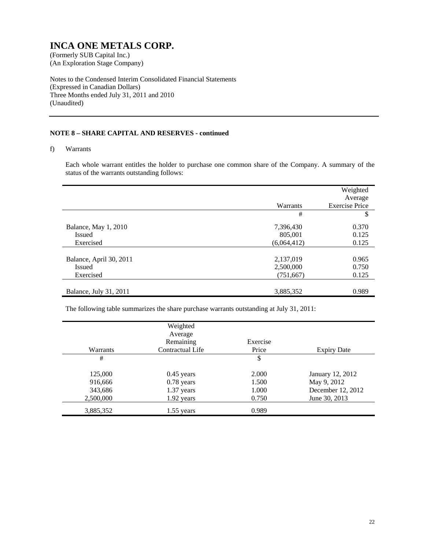(An Exploration Stage Company)

Notes to the Condensed Interim Consolidated Financial Statements (Expressed in Canadian Dollars) Three Months ended July 31, 2011 and 2010 (Unaudited)

### **NOTE 8 – SHARE CAPITAL AND RESERVES - continued**

f) Warrants

Each whole warrant entitles the holder to purchase one common share of the Company. A summary of the status of the warrants outstanding follows:

|                         |             | Weighted<br>Average   |
|-------------------------|-------------|-----------------------|
|                         | Warrants    | <b>Exercise Price</b> |
|                         | #           | \$                    |
| Balance, May 1, 2010    | 7,396,430   | 0.370                 |
| <b>Issued</b>           | 805,001     | 0.125                 |
| Exercised               | (6,064,412) | 0.125                 |
|                         |             |                       |
| Balance, April 30, 2011 | 2,137,019   | 0.965                 |
| <b>Issued</b>           | 2,500,000   | 0.750                 |
| Exercised               | (751, 667)  | 0.125                 |
|                         |             |                       |
| Balance, July 31, 2011  | 3,885,352   | 0.989                 |

The following table summarizes the share purchase warrants outstanding at July 31, 2011:

|           | Weighted         |          |                    |
|-----------|------------------|----------|--------------------|
|           | Average          |          |                    |
|           | Remaining        | Exercise |                    |
| Warrants  | Contractual Life | Price    | <b>Expiry Date</b> |
| #         |                  | \$       |                    |
| 125,000   | $0.45$ years     | 2.000    | January 12, 2012   |
| 916,666   | $0.78$ years     | 1.500    | May 9, 2012        |
| 343,686   | 1.37 years       | 1.000    | December 12, 2012  |
| 2,500,000 | 1.92 years       | 0.750    | June 30, 2013      |
| 3,885,352 | $1.55$ years     | 0.989    |                    |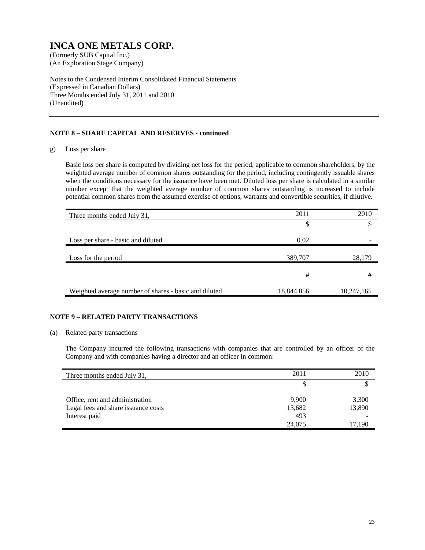(An Exploration Stage Company)

Notes to the Condensed Interim Consolidated Financial Statements (Expressed in Canadian Dollars) Three Months ended July 31, 2011 and 2010 (Unaudited)

### **NOTE 8 – SHARE CAPITAL AND RESERVES - continued**

g) Loss per share

Basic loss per share is computed by dividing net loss for the period, applicable to common shareholders, by the weighted average number of common shares outstanding for the period, including contingently issuable shares when the conditions necessary for the issuance have been met. Diluted loss per share is calculated in a similar number except that the weighted average number of common shares outstanding is increased to include potential common shares from the assumed exercise of options, warrants and convertible securities, if dilutive.

| Three months ended July 31,                           | 2011       | 2010       |
|-------------------------------------------------------|------------|------------|
|                                                       | \$         |            |
| Loss per share - basic and diluted                    | 0.02       |            |
| Loss for the period                                   | 389,707    | 28,179     |
|                                                       | #          | #          |
| Weighted average number of shares - basic and diluted | 18,844,856 | 10,247,165 |

### **NOTE 9 – RELATED PARTY TRANSACTIONS**

#### (a) Related party transactions

The Company incurred the following transactions with companies that are controlled by an officer of the Company and with companies having a director and an officer in common:

| Three months ended July 31,         | 2011   | 2010   |
|-------------------------------------|--------|--------|
|                                     |        |        |
| Office, rent and administration     | 9,900  | 3,300  |
| Legal fees and share issuance costs | 13,682 | 13,890 |
| Interest paid                       | 493    |        |
|                                     | 24,075 | 17.190 |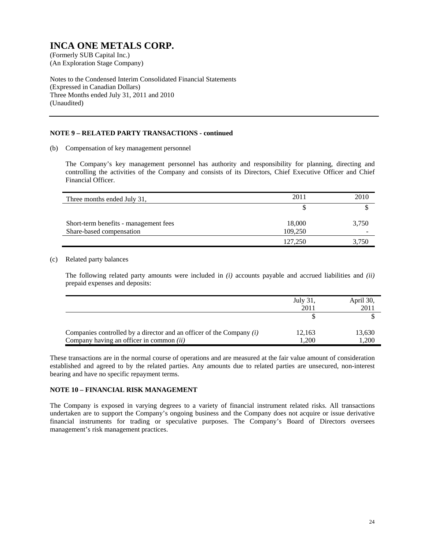(An Exploration Stage Company)

Notes to the Condensed Interim Consolidated Financial Statements (Expressed in Canadian Dollars) Three Months ended July 31, 2011 and 2010 (Unaudited)

#### **NOTE 9 – RELATED PARTY TRANSACTIONS - continued**

(b) Compensation of key management personnel

The Company's key management personnel has authority and responsibility for planning, directing and controlling the activities of the Company and consists of its Directors, Chief Executive Officer and Chief Financial Officer.

| Three months ended July 31,           | 2011    | 2010  |
|---------------------------------------|---------|-------|
|                                       |         |       |
| Short-term benefits - management fees | 18,000  | 3,750 |
| Share-based compensation              | 109.250 |       |
|                                       | 127,250 | 3,750 |

### (c) Related party balances

The following related party amounts were included in *(i)* accounts payable and accrued liabilities and *(ii)* prepaid expenses and deposits:

|                                                                                                                      | July 31,<br>2011 | April 30,<br>2011 |
|----------------------------------------------------------------------------------------------------------------------|------------------|-------------------|
|                                                                                                                      |                  |                   |
| Companies controlled by a director and an officer of the Company $(i)$<br>Company having an officer in common $(ii)$ | 12,163<br>1,200  | 13,630<br>1.200   |

These transactions are in the normal course of operations and are measured at the fair value amount of consideration established and agreed to by the related parties. Any amounts due to related parties are unsecured, non-interest bearing and have no specific repayment terms.

#### **NOTE 10 – FINANCIAL RISK MANAGEMENT**

The Company is exposed in varying degrees to a variety of financial instrument related risks. All transactions undertaken are to support the Company's ongoing business and the Company does not acquire or issue derivative financial instruments for trading or speculative purposes. The Company's Board of Directors oversees management's risk management practices.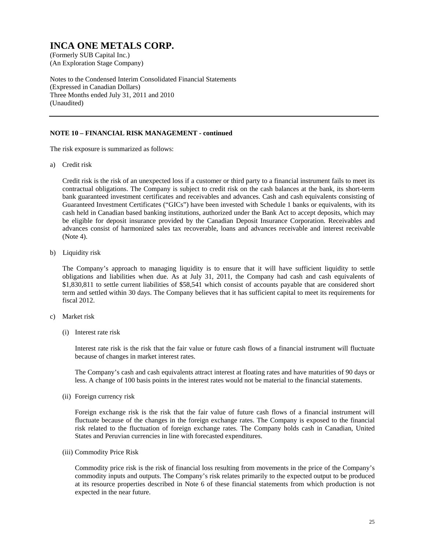(An Exploration Stage Company)

Notes to the Condensed Interim Consolidated Financial Statements (Expressed in Canadian Dollars) Three Months ended July 31, 2011 and 2010 (Unaudited)

#### **NOTE 10 – FINANCIAL RISK MANAGEMENT - continued**

The risk exposure is summarized as follows:

a) Credit risk

Credit risk is the risk of an unexpected loss if a customer or third party to a financial instrument fails to meet its contractual obligations. The Company is subject to credit risk on the cash balances at the bank, its short-term bank guaranteed investment certificates and receivables and advances. Cash and cash equivalents consisting of Guaranteed Investment Certificates ("GICs") have been invested with Schedule 1 banks or equivalents, with its cash held in Canadian based banking institutions, authorized under the Bank Act to accept deposits, which may be eligible for deposit insurance provided by the Canadian Deposit Insurance Corporation. Receivables and advances consist of harmonized sales tax recoverable, loans and advances receivable and interest receivable (Note 4).

b) Liquidity risk

The Company's approach to managing liquidity is to ensure that it will have sufficient liquidity to settle obligations and liabilities when due. As at July 31, 2011, the Company had cash and cash equivalents of \$1,830,811 to settle current liabilities of \$58,541 which consist of accounts payable that are considered short term and settled within 30 days. The Company believes that it has sufficient capital to meet its requirements for fiscal 2012.

- c) Market risk
	- (i) Interest rate risk

Interest rate risk is the risk that the fair value or future cash flows of a financial instrument will fluctuate because of changes in market interest rates.

The Company's cash and cash equivalents attract interest at floating rates and have maturities of 90 days or less. A change of 100 basis points in the interest rates would not be material to the financial statements.

(ii) Foreign currency risk

Foreign exchange risk is the risk that the fair value of future cash flows of a financial instrument will fluctuate because of the changes in the foreign exchange rates. The Company is exposed to the financial risk related to the fluctuation of foreign exchange rates. The Company holds cash in Canadian, United States and Peruvian currencies in line with forecasted expenditures.

(iii) Commodity Price Risk

Commodity price risk is the risk of financial loss resulting from movements in the price of the Company's commodity inputs and outputs. The Company's risk relates primarily to the expected output to be produced at its resource properties described in Note 6 of these financial statements from which production is not expected in the near future.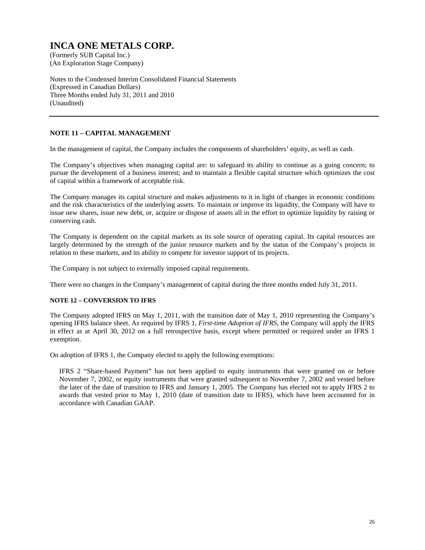(An Exploration Stage Company)

Notes to the Condensed Interim Consolidated Financial Statements (Expressed in Canadian Dollars) Three Months ended July 31, 2011 and 2010 (Unaudited)

### **NOTE 11 – CAPITAL MANAGEMENT**

In the management of capital, the Company includes the components of shareholders' equity, as well as cash.

The Company's objectives when managing capital are: to safeguard its ability to continue as a going concern; to pursue the development of a business interest; and to maintain a flexible capital structure which optimizes the cost of capital within a framework of acceptable risk.

The Company manages its capital structure and makes adjustments to it in light of changes in economic conditions and the risk characteristics of the underlying assets. To maintain or improve its liquidity, the Company will have to issue new shares, issue new debt, or, acquire or dispose of assets all in the effort to optimize liquidity by raising or conserving cash.

The Company is dependent on the capital markets as its sole source of operating capital. Its capital resources are largely determined by the strength of the junior resource markets and by the status of the Company's projects in relation to these markets, and its ability to compete for investor support of its projects.

The Company is not subject to externally imposed capital requirements.

There were no changes in the Company's management of capital during the three months ended July 31, 2011.

### **NOTE 12 – CONVERSION TO IFRS**

The Company adopted IFRS on May 1, 2011, with the transition date of May 1, 2010 representing the Company's opening IFRS balance sheet. As required by IFRS 1, *First-time Adoption of IFRS*, the Company will apply the IFRS in effect as at April 30, 2012 on a full retrospective basis, except where permitted or required under an IFRS 1 exemption.

On adoption of IFRS 1, the Company elected to apply the following exemptions:

IFRS 2 "Share-based Payment" has not been applied to equity instruments that were granted on or before November 7, 2002, or equity instruments that were granted subsequent to November 7, 2002 and vested before the later of the date of transition to IFRS and January 1, 2005. The Company has elected not to apply IFRS 2 to awards that vested prior to May 1, 2010 (date of transition date to IFRS), which have been accounted for in accordance with Canadian GAAP.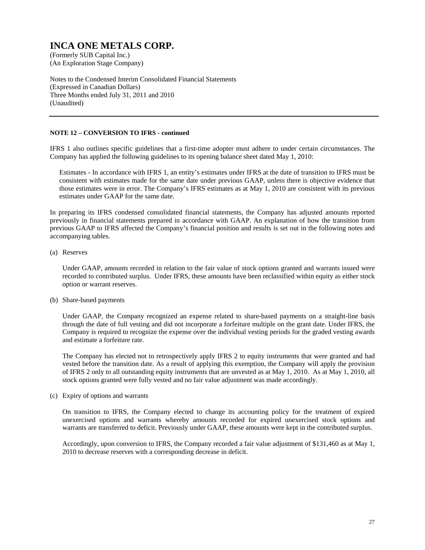(An Exploration Stage Company)

Notes to the Condensed Interim Consolidated Financial Statements (Expressed in Canadian Dollars) Three Months ended July 31, 2011 and 2010 (Unaudited)

#### **NOTE 12 – CONVERSION TO IFRS - continued**

IFRS 1 also outlines specific guidelines that a first-time adopter must adhere to under certain circumstances. The Company has applied the following guidelines to its opening balance sheet dated May 1, 2010:

Estimates - In accordance with IFRS 1, an entity's estimates under IFRS at the date of transition to IFRS must be consistent with estimates made for the same date under previous GAAP, unless there is objective evidence that those estimates were in error. The Company's IFRS estimates as at May 1, 2010 are consistent with its previous estimates under GAAP for the same date.

In preparing its IFRS condensed consolidated financial statements, the Company has adjusted amounts reported previously in financial statements prepared in accordance with GAAP. An explanation of how the transition from previous GAAP to IFRS affected the Company's financial position and results is set out in the following notes and accompanying tables.

(a) Reserves

Under GAAP, amounts recorded in relation to the fair value of stock options granted and warrants issued were recorded to contributed surplus. Under IFRS, these amounts have been reclassified within equity as either stock option or warrant reserves.

(b) Share-based payments

Under GAAP, the Company recognized an expense related to share-based payments on a straight-line basis through the date of full vesting and did not incorporate a forfeiture multiple on the grant date. Under IFRS, the Company is required to recognize the expense over the individual vesting periods for the graded vesting awards and estimate a forfeiture rate.

The Company has elected not to retrospectively apply IFRS 2 to equity instruments that were granted and had vested before the transition date. As a result of applying this exemption, the Company will apply the provision of IFRS 2 only to all outstanding equity instruments that are unvested as at May 1, 2010. As at May 1, 2010, all stock options granted were fully vested and no fair value adjustment was made accordingly.

(c) Expiry of options and warrants

On transition to IFRS, the Company elected to change its accounting policy for the treatment of expired unexercised options and warrants whereby amounts recorded for expired unexercised stock options and warrants are transferred to deficit. Previously under GAAP, these amounts were kept in the contributed surplus.

Accordingly, upon conversion to IFRS, the Company recorded a fair value adjustment of \$131,460 as at May 1, 2010 to decrease reserves with a corresponding decrease in deficit.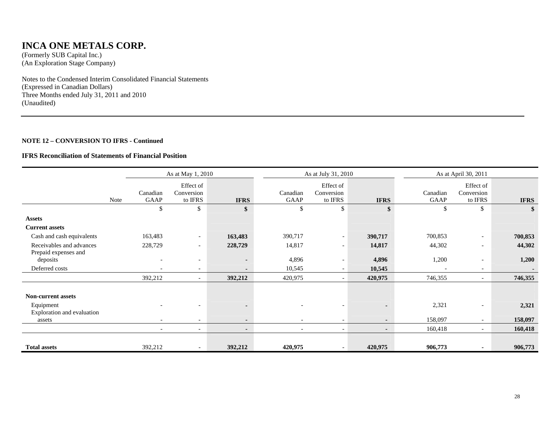### **INCA ONE METALS CORP.**

(Formerly SUB Capital Inc.) (An Exploration Stage Company)

Notes to the Condensed Interim Consolidated Financial Statements (Expressed in Canadian Dollars) Three Months ended July 31, 2011 and 2010 (Unaudited)

#### **NOTE 12 – CONVERSION TO IFRS - Continued**

#### **IFRS Reconciliation of Statements of Financial Position**

|                                  |      | As at May 1, 2010        |                                                     |                          |                          | As at July 31, 2010                |             |                  | As at April 30, 2011               |             |  |
|----------------------------------|------|--------------------------|-----------------------------------------------------|--------------------------|--------------------------|------------------------------------|-------------|------------------|------------------------------------|-------------|--|
|                                  | Note | Canadian<br>GAAP         | Effect of<br>Conversion<br>to $\operatorname{IFRS}$ | <b>IFRS</b>              | Canadian<br>GAAP         | Effect of<br>Conversion<br>to IFRS | <b>IFRS</b> | Canadian<br>GAAP | Effect of<br>Conversion<br>to IFRS | <b>IFRS</b> |  |
|                                  |      | \$                       | \$                                                  | \$                       | \$                       | $\mathbb{S}$                       | \$          | \$               | $\mathbb{S}$                       | \$          |  |
| <b>Assets</b>                    |      |                          |                                                     |                          |                          |                                    |             |                  |                                    |             |  |
| <b>Current assets</b>            |      |                          |                                                     |                          |                          |                                    |             |                  |                                    |             |  |
| Cash and cash equivalents        |      | 163,483                  | $\sim$                                              | 163,483                  | 390,717                  | $\overline{\phantom{a}}$           | 390,717     | 700,853          | $\overline{\phantom{a}}$           | 700,853     |  |
| Receivables and advances         |      | 228,729                  | $\overline{\phantom{a}}$                            | 228,729                  | 14,817                   | $\overline{\phantom{a}}$           | 14,817      | 44,302           | $\overline{\phantom{a}}$           | 44,302      |  |
| Prepaid expenses and<br>deposits |      |                          | $\overline{\phantom{a}}$                            | $\blacksquare$           | 4,896                    | $\overline{\phantom{0}}$           | 4,896       | 1,200            |                                    | 1,200       |  |
| Deferred costs                   |      |                          | $\overline{\phantom{a}}$                            | $\overline{\phantom{a}}$ | 10,545                   |                                    | 10,545      |                  | $\overline{\phantom{a}}$           |             |  |
|                                  |      | 392,212                  |                                                     | 392,212                  | 420,975                  |                                    | 420,975     | 746,355          |                                    | 746,355     |  |
|                                  |      |                          |                                                     |                          |                          |                                    |             |                  |                                    |             |  |
| <b>Non-current assets</b>        |      |                          |                                                     |                          |                          |                                    |             |                  |                                    |             |  |
| Equipment                        |      |                          |                                                     |                          |                          |                                    |             | 2,321            |                                    | 2,321       |  |
| Exploration and evaluation       |      |                          |                                                     |                          |                          |                                    |             |                  |                                    |             |  |
| assets                           |      | $\overline{\phantom{0}}$ | $\overline{\phantom{0}}$                            |                          |                          | $\overline{\phantom{0}}$           |             | 158,097          | $\overline{\phantom{0}}$           | 158,097     |  |
|                                  |      | $\overline{\phantom{a}}$ | $\overline{\phantom{0}}$                            | $\blacksquare$           | $\overline{\phantom{a}}$ | $\overline{\phantom{a}}$           | $\sim$      | 160,418          |                                    | 160,418     |  |
|                                  |      |                          |                                                     |                          |                          |                                    |             |                  |                                    |             |  |
| <b>Total assets</b>              |      | 392,212                  |                                                     | 392,212                  | 420,975                  |                                    | 420,975     | 906,773          |                                    | 906,773     |  |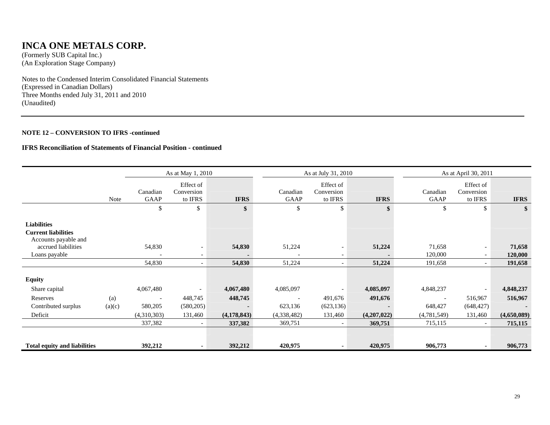### **INCA ONE METALS CORP.**

(Formerly SUB Capital Inc.) (An Exploration Stage Company)

Notes to the Condensed Interim Consolidated Financial Statements (Expressed in Canadian Dollars) Three Months ended July 31, 2011 and 2010 (Unaudited)

#### **NOTE 12 – CONVERSION TO IFRS -continued**

#### **IFRS Reconciliation of Statements of Financial Position - continued**

|                                                                          | As at May 1, 2010 |                          |                                    |               | As at July 31, 2010 |                                    |             | As at April 30, 2011     |                                    |             |
|--------------------------------------------------------------------------|-------------------|--------------------------|------------------------------------|---------------|---------------------|------------------------------------|-------------|--------------------------|------------------------------------|-------------|
|                                                                          | Note              | Canadian<br>GAAP         | Effect of<br>Conversion<br>to IFRS | <b>IFRS</b>   | Canadian<br>GAAP    | Effect of<br>Conversion<br>to IFRS | <b>IFRS</b> | Canadian<br>GAAP         | Effect of<br>Conversion<br>to IFRS | <b>IFRS</b> |
|                                                                          |                   | \$                       | \$                                 | \$            | \$                  | \$                                 |             | \$                       | \$                                 | \$          |
| <b>Liabilities</b><br><b>Current liabilities</b><br>Accounts payable and |                   |                          |                                    |               |                     |                                    |             |                          |                                    |             |
| accrued liabilities                                                      |                   | 54,830                   | $\overline{\phantom{a}}$           | 54,830        | 51,224              | $\overline{\phantom{0}}$           | 51,224      | 71,658                   | $\overline{\phantom{a}}$           | 71,658      |
| Loans payable                                                            |                   | $\overline{\phantom{a}}$ | $\overline{\phantom{a}}$           |               |                     |                                    |             | 120,000                  | $\overline{\phantom{a}}$           | 120,000     |
|                                                                          |                   | 54,830                   | $\overline{\phantom{a}}$           | 54,830        | 51,224              |                                    | 51,224      | 191,658                  | $\overline{\phantom{0}}$           | 191,658     |
| <b>Equity</b>                                                            |                   |                          |                                    |               |                     |                                    |             |                          |                                    |             |
| Share capital                                                            |                   | 4,067,480                |                                    | 4,067,480     | 4,085,097           |                                    | 4,085,097   | 4,848,237                | $\overline{\phantom{a}}$           | 4,848,237   |
| Reserves                                                                 | (a)               | $\overline{\phantom{a}}$ | 448,745                            | 448,745       |                     | 491,676                            | 491,676     | $\overline{\phantom{a}}$ | 516,967                            | 516,967     |
| Contributed surplus                                                      | (a)(c)            | 580,205                  | (580, 205)                         |               | 623,136             | (623, 136)                         |             | 648,427                  | (648, 427)                         |             |
| Deficit                                                                  |                   | (4,310,303)              | 131,460                            | (4, 178, 843) | (4,338,482)         | 131,460                            | (4,207,022) | (4,781,549)              | 131,460                            | (4,650,089) |
|                                                                          |                   | 337,382                  | $\overline{\phantom{a}}$           | 337,382       | 369,751             |                                    | 369,751     | 715,115                  | $\overline{\phantom{a}}$           | 715,115     |
|                                                                          |                   |                          |                                    |               |                     |                                    |             |                          |                                    |             |
| <b>Total equity and liabilities</b>                                      |                   | 392,212                  | $\blacksquare$                     | 392,212       | 420,975             |                                    | 420,975     | 906,773                  | ٠                                  | 906,773     |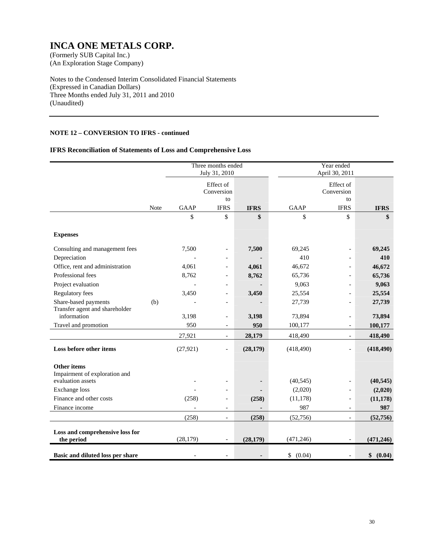(An Exploration Stage Company)

Notes to the Condensed Interim Consolidated Financial Statements (Expressed in Canadian Dollars) Three Months ended July 31, 2011 and 2010 (Unaudited)

### **NOTE 12 – CONVERSION TO IFRS - continued**

### **IFRS Reconciliation of Statements of Loss and Comprehensive Loss**

|                                                        |      |             | Three months ended<br>July 31, 2010 |                |              | Year ended<br>April 30, 2011  |              |
|--------------------------------------------------------|------|-------------|-------------------------------------|----------------|--------------|-------------------------------|--------------|
|                                                        |      |             | Effect of<br>Conversion<br>to       |                |              | Effect of<br>Conversion<br>to |              |
|                                                        | Note | <b>GAAP</b> | <b>IFRS</b>                         | <b>IFRS</b>    | <b>GAAP</b>  | <b>IFRS</b>                   | <b>IFRS</b>  |
|                                                        |      | \$          | \$                                  | \$             | \$           | \$                            | \$           |
| <b>Expenses</b>                                        |      |             |                                     |                |              |                               |              |
| Consulting and management fees                         |      | 7,500       | $\overline{a}$                      | 7,500          | 69,245       | $\overline{\phantom{a}}$      | 69,245       |
| Depreciation                                           |      |             |                                     |                | 410          | $\overline{a}$                | 410          |
| Office, rent and administration                        |      | 4,061       |                                     | 4,061          | 46,672       | $\overline{a}$                | 46,672       |
| Professional fees                                      |      | 8,762       |                                     | 8,762          | 65,736       |                               | 65,736       |
| Project evaluation                                     |      |             |                                     |                | 9,063        |                               | 9,063        |
| <b>Regulatory fees</b>                                 |      | 3,450       | $\overline{a}$                      | 3,450          | 25,554       | $\overline{a}$                | 25,554       |
| Share-based payments<br>Transfer agent and shareholder | (b)  |             | $\overline{a}$                      |                | 27,739       | $\overline{a}$                | 27,739       |
| information                                            |      | 3,198       | $\overline{a}$                      | 3,198          | 73,894       | $\overline{\phantom{a}}$      | 73,894       |
| Travel and promotion                                   |      | 950         | $\overline{\phantom{a}}$            | 950            | 100,177      | $\overline{\phantom{a}}$      | 100,177      |
|                                                        |      | 27,921      | $\overline{\phantom{a}}$            | 28,179         | 418,490      | $\blacksquare$                | 418,490      |
| Loss before other items                                |      | (27, 921)   | $\overline{a}$                      | (28, 179)      | (418, 490)   | $\overline{a}$                | (418, 490)   |
| <b>Other items</b>                                     |      |             |                                     |                |              |                               |              |
| Impairment of exploration and                          |      |             |                                     |                |              |                               |              |
| evaluation assets                                      |      |             | $\overline{a}$                      |                | (40, 545)    | $\overline{\phantom{a}}$      | (40, 545)    |
| <b>Exchange</b> loss                                   |      |             |                                     |                | (2,020)      | $\overline{\phantom{0}}$      | (2,020)      |
| Finance and other costs                                |      | (258)       | $\overline{\phantom{a}}$            | (258)          | (11, 178)    | $\overline{\phantom{0}}$      | (11, 178)    |
| Finance income                                         |      |             | $\overline{\phantom{a}}$            | $\blacksquare$ | 987          | $\blacksquare$                | 987          |
|                                                        |      | (258)       | $\overline{\phantom{a}}$            | (258)          | (52,756)     | $\overline{\phantom{a}}$      | (52,756)     |
| Loss and comprehensive loss for                        |      |             |                                     |                |              |                               |              |
| the period                                             |      | (28, 179)   | $\overline{\phantom{a}}$            | (28, 179)      | (471, 246)   |                               | (471, 246)   |
| Basic and diluted loss per share                       |      |             |                                     |                | \$<br>(0.04) | $\overline{a}$                | \$<br>(0.04) |